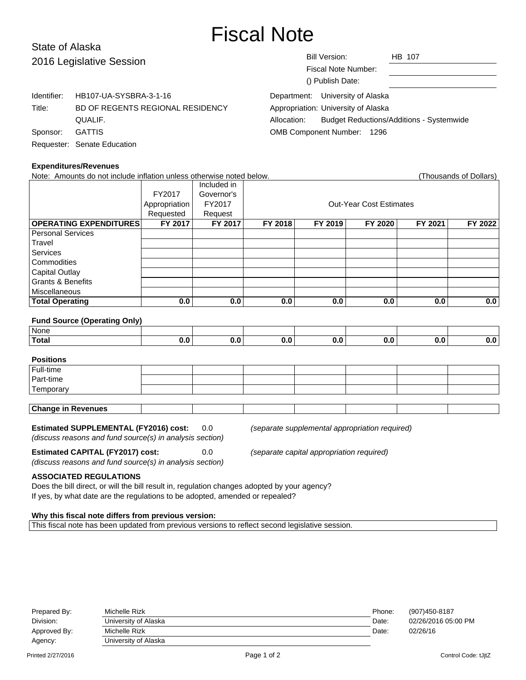# Fiscal Note

## State of Alaska 2016 Legislative Ses

| 2016 Legislative Session |                                  |                                     | <b>Bill Version:</b>             | HB 107                                          |  |
|--------------------------|----------------------------------|-------------------------------------|----------------------------------|-------------------------------------------------|--|
|                          |                                  |                                     | Fiscal Note Number:              |                                                 |  |
|                          |                                  |                                     | () Publish Date:                 |                                                 |  |
| Identifier:              | HB107-UA-SYSBRA-3-1-16           |                                     | Department: University of Alaska |                                                 |  |
| Title:                   | BD OF REGENTS REGIONAL RESIDENCY | Appropriation: University of Alaska |                                  |                                                 |  |
|                          | QUALIF.                          | Allocation:                         |                                  | <b>Budget Reductions/Additions - Systemwide</b> |  |
| Sponsor:                 | <b>GATTIS</b>                    | OMB Component Number: 1296          |                                  |                                                 |  |
|                          | Requester: Senate Education      |                                     |                                  |                                                 |  |

#### **Expenditures/Revenues**

| Note: Amounts do not include inflation unless otherwise noted below. |               |             |                                |         |         |         | (Thousands of Dollars) |
|----------------------------------------------------------------------|---------------|-------------|--------------------------------|---------|---------|---------|------------------------|
|                                                                      |               | Included in |                                |         |         |         |                        |
|                                                                      | FY2017        | Governor's  |                                |         |         |         |                        |
|                                                                      | Appropriation | FY2017      | <b>Out-Year Cost Estimates</b> |         |         |         |                        |
|                                                                      | Requested     | Request     |                                |         |         |         |                        |
| <b>OPERATING EXPENDITURES</b>                                        | FY 2017       | FY 2017     | FY 2018                        | FY 2019 | FY 2020 | FY 2021 | FY 2022                |
| <b>Personal Services</b>                                             |               |             |                                |         |         |         |                        |
| Travel                                                               |               |             |                                |         |         |         |                        |
| Services                                                             |               |             |                                |         |         |         |                        |
| Commodities                                                          |               |             |                                |         |         |         |                        |
| Capital Outlay                                                       |               |             |                                |         |         |         |                        |
| <b>Grants &amp; Benefits</b>                                         |               |             |                                |         |         |         |                        |
| Miscellaneous                                                        |               |             |                                |         |         |         |                        |
| <b>Total Operating</b>                                               | 0.0           | 0.0         | 0.0                            | 0.0     | 0.0     | 0.0     | 0.0                    |
|                                                                      |               |             |                                |         |         |         |                        |

#### **Fund Source (Operating Only)**

| None  |  |  |  |  |
|-------|--|--|--|--|
| Total |  |  |  |  |

## **Positions** Full-time Part-time **Temporary Change in Revenues**

**Estimated SUPPLEMENTAL (FY2016) cost:** 0.0 (separate supplemental appropriation required) (discuss reasons and fund source(s) in analysis section)

**Estimated CAPITAL (FY2017) cost:** 0.0 (separate capital appropriation required) (discuss reasons and fund source(s) in analysis section)

## **ASSOCIATED REGULATIONS**

Does the bill direct, or will the bill result in, regulation changes adopted by your agency? If yes, by what date are the regulations to be adopted, amended or repealed?

#### **Why this fiscal note differs from previous version:**

This fiscal note has been updated from previous versions to reflect second legislative session.

| Prepared By: | Michelle Rizk        | Phone: | (907)450-8187       |
|--------------|----------------------|--------|---------------------|
| Division:    | University of Alaska | Date:  | 02/26/2016 05:00 PM |
| Approved By: | Michelle Rizk        | Date:  | 02/26/16            |
| Agency:      | University of Alaska |        |                     |